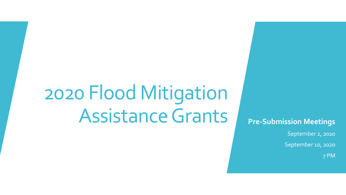# 2020 Flood Mitigation Assistance Grants Pre-Submission Meetings

September 2, 2020

September 10, 2020

7 PM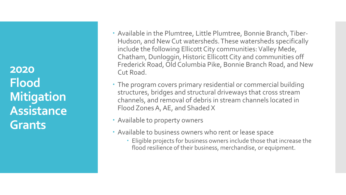**2020 Flood Mitigation Assistance Grants**

- Available in the Plumtree, Little Plumtree, Bonnie Branch, Tiber-Hudson, and New Cut watersheds. These watersheds specifically include the following Ellicott City communities: Valley Mede, Chatham, Dunloggin, Historic Ellicott City and communities off Frederick Road, Old Columbia Pike, Bonnie Branch Road, and New Cut Road.
- The program covers primary residential or commercial building structures, bridges and structural driveways that cross stream channels, and removal of debris in stream channels located in Flood Zones A, AE, and Shaded X
- Available to property owners
- Available to business owners who rent or lease space
	- Eligible projects for business owners include those that increase the flood resilience of their business, merchandise, or equipment.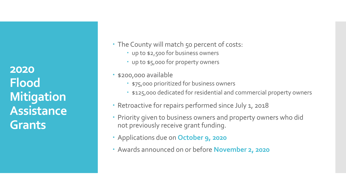**2020 Flood Mitigation Assistance Grants**

- The County will match 50 percent of costs:
	- up to \$2,500 for business owners
	- up to \$5,000 for property owners
- \$200,000 available
	- **\* \$75,000 prioritized for business owners**
	- **\* \$125,000 dedicated for residential and commercial property owners**
- Retroactive for repairs performed since July 1, 2018
- Priority given to business owners and property owners who did not previously receive grant funding.
- Applications due on **October 9, 2020**
- Awards announced on or before **November 2, 2020**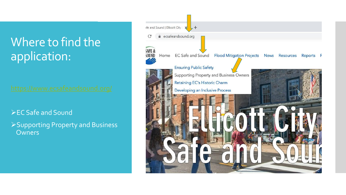## Where to find the application:

➢EC Safe and Sound

➢Supporting Property and Business **Owners** 

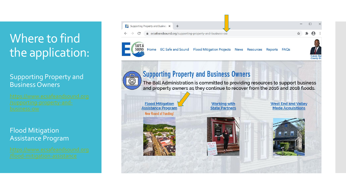# Where to find the application:

### Supporting Property and Business Owners

### Flood Mitigation Assistance Program



ecsafeandsound.org/supporting-property-and-business-ow





EC Safe and Sound Flood Mitigation Projects News Resources Reports FAOs



## **Supporting Property and Business Owners**

 $\overline{\widehat{\mathbb{G}}}$ 

**RITILITI** 

The Ball Administration is committed to providing resources to support business and property owners as they continue to recover from the 2016 and 2018 floods.

**Flood Mitigation Assistance Program** 



THEFTING

**Working with State Partners**  **West End and Valley Mede Acquisitions** 



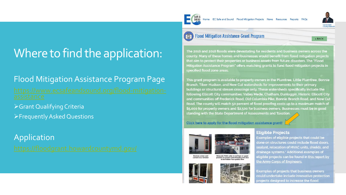Home EC Safe and Sound Flood Mitigation Projects News Resources Reports FAQs



< BACK

# Where to find the application:

## Flood Mitigation Assistance Program Page

➢Grant Qualifying Criteria ➢Frequently Asked Questions

Application



The 2016 and 2018 floods were devastating for residents and business owners across the county. Many of these homes and businesses would benefit from flood mitigation projects that aim to protect their properties or business assets from future disasters. The "Flood Mitigation Assistance Program" offers matching grants to fund flood mitigation projects in specified flood zone areas.

This grant program is available to property owners in the Plumtree, Little Plumtree, Bonnie Branch, Tiber-Hudson, and New Cut watersheds for improvements to their primary buildings or structural stream crossings only. These watersheds specifically include the following Ellicott City communities: Valley Mede, Chatham, Dunloggin, Historic Ellicott City and communities off Frederick Road, Old Columbia Pike, Bonnie Branch Road, and New Cut Road. The county will match 50 percent of flood proofing costs up to a maximum match of \$5,000 for property owners and \$2,500 for business owners. Businesses must be in good standing with the State Department of Assessments and Taxation.

Click here to apply for the flood mitigation assistance grant!



Enclose a door and

convert to a window









### **Eligible Projects**

Examples of eligible projects that could be done on structures could include flood doors, sealant, relocation of HVAC units, shields, and drainage systems.\* Additional examples of eligible projects can be found in this report by the Army Corps of Engineers.

**Examples of projects that business owners** could undertake include innovative protection projects designed to increase the flood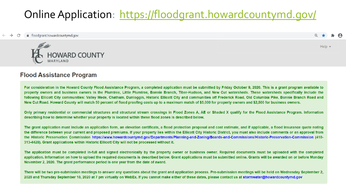## Online Application: https://floodgrant.howardcountymd.gov/

■ floodgrant.howardcountymd.gov



### **Flood Assistance Program**

For consideration in the Howard County Flood Assistance Program, a completed application must be submitted by Friday October 9, 2020. This is a grant program available to property owners and business owners in the Plumtree, Little Plumtree, Bonnie Branch, Tiber-Hudson, and New Cut watersheds. These watersheds specifically include the following Ellicott City communities: Valley Mede, Chatham, Dunloggin, Historic Ellicott City and communities off Frederick Road, Old Columbia Pike, Bonnie Branch Road and New Cut Road. Howard County will match 50 percent of flood proofing costs up to a maximum match of \$5,000 for property owners and \$2,500 for business owners.

Help  $\rightarrow$ 

Only primary residential or commercial structures and structural stream crossings in Flood Zones A, AE or Shaded X qualify for the Flood Assistance Program. Information describing how to determine whether your property is located within these flood zones is described below.

The grant application must include an application form, an elevation certificate, a flood protection proposal and cost estimate, and if applicable, a flood insurance quote noting the difference between your current and proposed premiums. If your property lies within the Ellicott City Historic District, you must also include comments or an approval from the Historic Preservation Commission https://www.howardcountymd.gov/Departments/Planning-and-Zoning/Boards-and-Commissions/Historic-Preservation-Commission (410-313-4428). Grant applications within Historic Ellicott City will not be processed without it.

The application must be completed in-full and signed electronically by the property owner or business owner. Required documents must be uploaded with the completed application. Information on how to upload the required documents is described below. Grant applications must be submitted online. Grants will be awarded on or before Monday November 2, 2020. The grant performance period is one year from the date of award.

There will be two pre-submission meetings to answer any questions about the grant and application process. Pre-submission meetings will be held on Wednesday September 2, 2020 and Thursday September 10, 2020 at 7 pm virtually on WebEx. If you cannot make either of these dates, please contact us at stormwater@howardcountymd.gov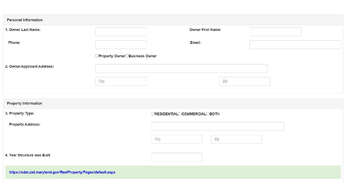| <b>Personal Information</b>                                   |                                |                              |     |  |  |
|---------------------------------------------------------------|--------------------------------|------------------------------|-----|--|--|
| 1. Owner Last Name:                                           |                                | <b>Owner First Name:</b>     |     |  |  |
| Phone:                                                        |                                | Email:                       |     |  |  |
|                                                               | ○Property Owner○Business Owner |                              |     |  |  |
| 2. Owner/Applicant Address:                                   |                                |                              |     |  |  |
|                                                               | City                           |                              | Zip |  |  |
|                                                               |                                |                              |     |  |  |
| <b>Property Information</b>                                   |                                |                              |     |  |  |
| 3. Property Type:                                             |                                | ORESIDENTIALOCOMMERCIALOBOTH |     |  |  |
| <b>Property Address:</b>                                      |                                |                              |     |  |  |
|                                                               |                                | Zip<br>City                  |     |  |  |
| 4. Year Structure was Built                                   |                                |                              |     |  |  |
| https://sdat.dat.maryland.gov/RealProperty/Pages/default.aspx |                                |                              |     |  |  |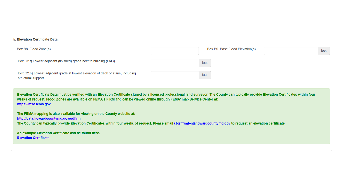#### 5. Elevation Certificate Data:

| Box B8. Flood Zone(s)                                                                                  | Box B9. Base Flood Elevation(s) | feet |
|--------------------------------------------------------------------------------------------------------|---------------------------------|------|
| Box C2.f) Lowest adjacent (finished) grade next to building (LAG)                                      | feet                            |      |
| Box C2.h) Lowest adjacent grade at lowest elevation of deck or stairs, including<br>structural support | feet                            |      |

Elevation Certificate Data must be verified with an Elevation Certificate signed by a licensed professional land surveyor. The County can typically provide Elevation Certificates within four weeks of request. Flood Zones are available on FEMA's FIRM and can be viewed online through FEMA' map Service Center at: https://msc.fema.gov

The FEMA mapping is also available for viewing on the County website at: http://data.howardcountymd.gov/gdfirm The County can typically provide Elevation Certificates within four weeks of request. Please email stormwater@howardcountymd.gov to request an elevation certificate

An example Elevation Certificate can be found here. **Elevation Certificate**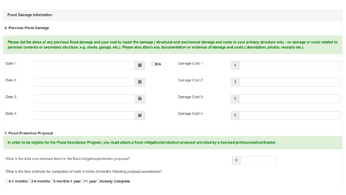#### **Flood Damage Information**

#### 6. Previous Flood Damage

Please list the dates of any previous flood damage and your cost to repair the damage ( structural and mechanical damage and costs to your primary structure only - no damage or costs related to personal contents or secondary structure, e.g. sheds, garage, etc.). Please also attach any documentation or evidence of damage and costs (description, photos, receipts etc.).

| Date 1:                                                                                                                                                                                          |  | $\frac{1}{100}$ | $\Box$ N/A | Damage Cost 1: | $\$\$         |
|--------------------------------------------------------------------------------------------------------------------------------------------------------------------------------------------------|--|-----------------|------------|----------------|---------------|
| Date 2:                                                                                                                                                                                          |  | iii             |            | Damage Cost 2: | $\frac{1}{2}$ |
| Date 3:                                                                                                                                                                                          |  | iiii            |            | Damage Cost 3: | $\frac{1}{2}$ |
| Date 4:                                                                                                                                                                                          |  | iii             |            | Damage Cost 4: | $\frac{1}{2}$ |
| 7. Flood Protection Proposal<br>In order to be eligible for the Flood Assistance Program, you must attach a flood mitigation/protection proposal provided by a licensed professional/contractor. |  |                 |            |                |               |

 $\mathfrak{S}$ 

What is the total cost estimate listed in the flood mitigation/protection proposal?

What is the time estimate for completion of work in terms of months following proposal acceptance?

◯0-3 months◯3-6 months◯6 months-1 year◯>1 year◯Already Complete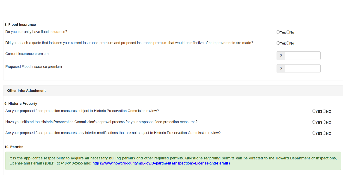#### 8. Flood Insurance

| Do you currently have flood insurance?                                                                                                                  | $\bigcirc$ Yes $\bigcirc$ No |
|---------------------------------------------------------------------------------------------------------------------------------------------------------|------------------------------|
| Did you attach a quote that includes your current insurance premium and proposed insurance premium that would be effective after improvements are made? | OYesONo                      |
| Current insurance premium                                                                                                                               | $\mathfrak{L}$               |
| Proposed Flood insurance premium                                                                                                                        |                              |

#### **Other Info/ Attachment**

### 9. Historic Property Are your proposed flood protection measures subject to Historic Preservation Commision review? OYESONO Have you initiated the Historic Preservation Commission's approval process for your proposed flood protection measures? **OYESONO** Are your proposed flood protection measures only interior modifications that are not subject to Historic Preservation Commission review? **OYESONO**

#### 10. Permits

It is the applicant's resposibility to acquire all necessary builing permits and other required permits. Questions regarding permits can be directed to the Howard Department of inspections, License and Permits (DILP) at 410-313-2455 and: https://www.howardcountymd.gov/Departments/Inspections-License-and-Permits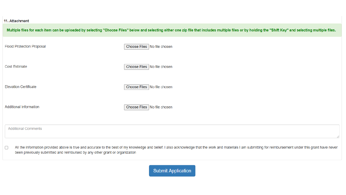#### 11. Attachment

|                                                                                                                                                                                                                                                                                                       | Multiple files for each item can be uploaded by selecting "Choose Files" below and selecting either one zip file that includes multiple files or by holding the "Shift Key" and selecting multiple files. |  |
|-------------------------------------------------------------------------------------------------------------------------------------------------------------------------------------------------------------------------------------------------------------------------------------------------------|-----------------------------------------------------------------------------------------------------------------------------------------------------------------------------------------------------------|--|
| <b>Flood Protection Proposal</b>                                                                                                                                                                                                                                                                      | Choose Files   No file chosen                                                                                                                                                                             |  |
| <b>Cost Estimate</b>                                                                                                                                                                                                                                                                                  | Choose Files No file chosen                                                                                                                                                                               |  |
| <b>Elevation Certificate</b>                                                                                                                                                                                                                                                                          | Choose Files No file chosen                                                                                                                                                                               |  |
| <b>Additional Information</b>                                                                                                                                                                                                                                                                         | Choose Files   No file chosen                                                                                                                                                                             |  |
| <b>Additional Comments</b>                                                                                                                                                                                                                                                                            |                                                                                                                                                                                                           |  |
| All the information provided above is true and accurate to the best of my knowledge and belief. I also acknowledge that the work and materials I am submitting for reimbursement under this grant have never<br>$\Box$<br>been previously submitted and reimbursed by any other grant or organization |                                                                                                                                                                                                           |  |

**Submit Application**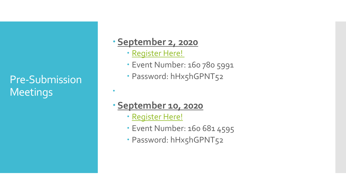Pre-Submission **Meetings** 

## **September 2, 2020**

- [Register Here!](https://howardcountymd.webex.com/howardcountymd/onstage/g.php?MTID=e8d45b5bb952cb40301fe4a4348541d96)
- Event Number: 160 780 5991
- · Password: hHx5hGPNT52

## **September 10, 2020**

[Register Here!](https://howardcountymd.webex.com/howardcountymd/onstage/g.php?MTID=e520268256d81a91278522c48d3379acd)

 $\bullet$ 

- Event Number: 160 681 4595
- · Password: hHx5hGPNT52